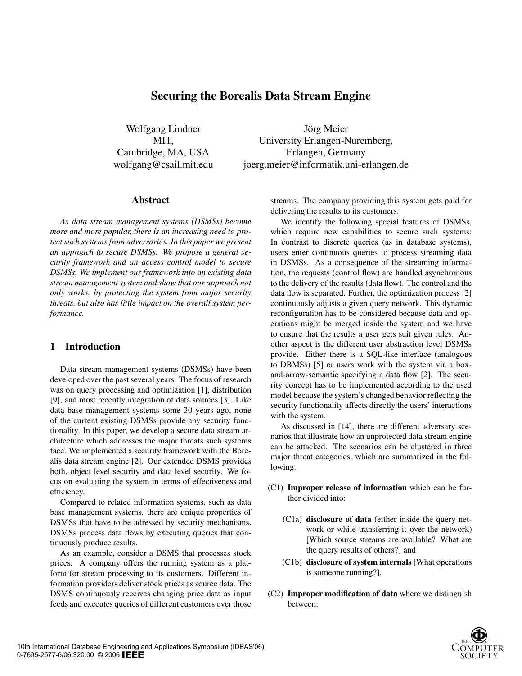# **Securing the Borealis Data Stream Engine**

Wolfgang Lindner MIT, Cambridge, MA, USA wolfgang@csail.mit.edu

Jörg Meier University Erlangen-Nuremberg, Erlangen, Germany joerg.meier@informatik.uni-erlangen.de

#### **Abstract**

*As data stream management systems (DSMSs) become more and more popular, there is an increasing need to protect such systems from adversaries. In this paper we present an approach to secure DSMSs. We propose a general security framework and an access control model to secure DSMSs. We implement our framework into an existing data stream management system and show that our approach not only works, by protecting the system from major security threats, but also has little impact on the overall system performance.*

## **1 Introduction**

Data stream management systems (DSMSs) have been developed over the past several years. The focus of research was on query processing and optimization [1], distribution [9], and most recently integration of data sources [3]. Like data base management systems some 30 years ago, none of the current existing DSMSs provide any security functionality. In this paper, we develop a secure data stream architecture which addresses the major threats such systems face. We implemented a security framework with the Borealis data stream engine [2]. Our extended DSMS provides both, object level security and data level security. We focus on evaluating the system in terms of effectiveness and efficiency.

Compared to related information systems, such as data base management systems, there are unique properties of DSMSs that have to be adressed by security mechanisms. DSMSs process data flows by executing queries that continuously produce results.

As an example, consider a DSMS that processes stock prices. A company offers the running system as a platform for stream processing to its customers. Different information providers deliver stock prices as source data. The DSMS continuously receives changing price data as input feeds and executes queries of different customers over those

streams. The company providing this system gets paid for delivering the results to its customers.

We identify the following special features of DSMSs, which require new capabilities to secure such systems: In contrast to discrete queries (as in database systems), users enter continuous queries to process streaming data in DSMSs. As a consequence of the streaming information, the requests (control flow) are handled asynchronous to the delivery of the results (data flow). The control and the data flow is separated. Further, the optimization process [2] continuously adjusts a given query network. This dynamic reconfiguration has to be considered because data and operations might be merged inside the system and we have to ensure that the results a user gets suit given rules. Another aspect is the different user abstraction level DSMSs provide. Either there is a SQL-like interface (analogous to DBMSs) [5] or users work with the system via a boxand-arrow-semantic specifying a data flow [2]. The security concept has to be implemented according to the used model because the system's changed behavior reflecting the security functionality affects directly the users' interactions with the system.

As discussed in [14], there are different adversary scenarios that illustrate how an unprotected data stream engine can be attacked. The scenarios can be clustered in three major threat categories, which are summarized in the following.

- (C1) **Improper release of information** which can be further divided into:
	- (C1a) **disclosure of data** (either inside the query network or while transferring it over the network) [Which source streams are available? What are the query results of others?] and
	- (C1b) **disclosure of system internals** [What operations is someone running?].
- (C2) **Improper modification of data** where we distinguish between:

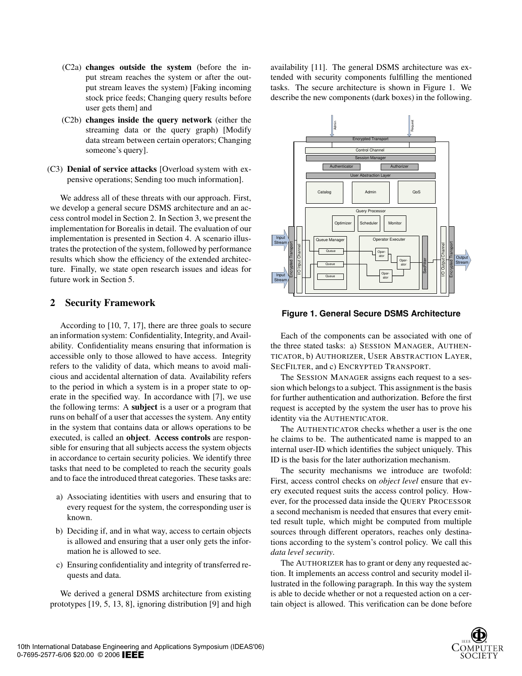- (C2a) **changes outside the system** (before the input stream reaches the system or after the output stream leaves the system) [Faking incoming stock price feeds; Changing query results before user gets them] and
- (C2b) **changes inside the query network** (either the streaming data or the query graph) [Modify data stream between certain operators; Changing someone's query].
- (C3) **Denial of service attacks** [Overload system with expensive operations; Sending too much information].

We address all of these threats with our approach. First, we develop a general secure DSMS architecture and an access control model in Section 2. In Section 3, we present the implementation for Borealis in detail. The evaluation of our implementation is presented in Section 4. A scenario illustrates the protection of the system, followed by performance results which show the efficiency of the extended architecture. Finally, we state open research issues and ideas for future work in Section 5.

## **2 Security Framework**

According to [10, 7, 17], there are three goals to secure an information system: Confidentiality, Integrity, and Availability. Confidentiality means ensuring that information is accessible only to those allowed to have access. Integrity refers to the validity of data, which means to avoid malicious and accidental alternation of data. Availability refers to the period in which a system is in a proper state to operate in the specified way. In accordance with [7], we use the following terms: A **subject** is a user or a program that runs on behalf of a user that accesses the system. Any entity in the system that contains data or allows operations to be executed, is called an **object**. **Access controls** are responsible for ensuring that all subjects access the system objects in accordance to certain security policies. We identify three tasks that need to be completed to reach the security goals and to face the introduced threat categories. These tasks are:

- a) Associating identities with users and ensuring that to every request for the system, the corresponding user is known.
- b) Deciding if, and in what way, access to certain objects is allowed and ensuring that a user only gets the information he is allowed to see.
- c) Ensuring confidentiality and integrity of transferred requests and data.

We derived a general DSMS architecture from existing prototypes [19, 5, 13, 8], ignoring distribution [9] and high availability [11]. The general DSMS architecture was extended with security components fulfilling the mentioned tasks. The secure architecture is shown in Figure 1. We describe the new components (dark boxes) in the following.



**Figure 1. General Secure DSMS Architecture**

Each of the components can be associated with one of the three stated tasks: a) SESSION MANAGER, AUTHEN-TICATOR, b) AUTHORIZER, USER ABSTRACTION LAYER, SECFILTER, and c) ENCRYPTED TRANSPORT.

The SESSION MANAGER assigns each request to a session which belongs to a subject. This assignment is the basis for further authentication and authorization. Before the first request is accepted by the system the user has to prove his identity via the AUTHENTICATOR.

The AUTHENTICATOR checks whether a user is the one he claims to be. The authenticated name is mapped to an internal user-ID which identifies the subject uniquely. This ID is the basis for the later authorization mechanism.

The security mechanisms we introduce are twofold: First, access control checks on *object level* ensure that every executed request suits the access control policy. However, for the processed data inside the QUERY PROCESSOR a second mechanism is needed that ensures that every emitted result tuple, which might be computed from multiple sources through different operators, reaches only destinations according to the system's control policy. We call this *data level security*.

The AUTHORIZER has to grant or deny any requested action. It implements an access control and security model illustrated in the following paragraph. In this way the system is able to decide whether or not a requested action on a certain object is allowed. This verification can be done before

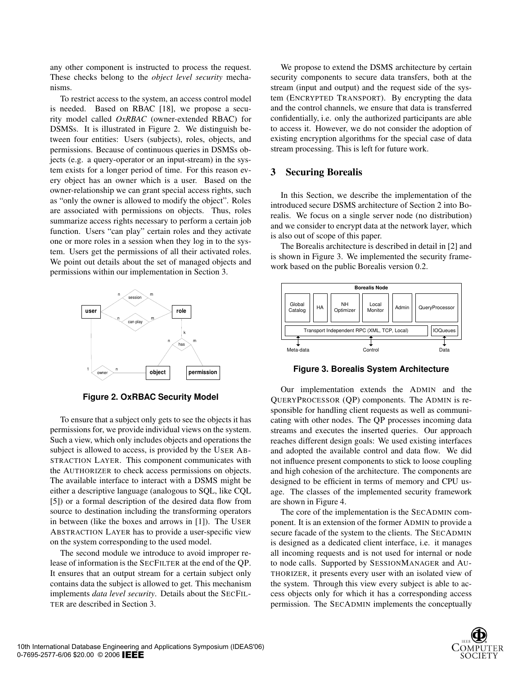any other component is instructed to process the request. These checks belong to the *object level security* mechanisms.

To restrict access to the system, an access control model is needed. Based on RBAC [18], we propose a security model called *OxRBAC* (owner-extended RBAC) for DSMSs. It is illustrated in Figure 2. We distinguish between four entities: Users (subjects), roles, objects, and permissions. Because of continuous queries in DSMSs objects (e.g. a query-operator or an input-stream) in the system exists for a longer period of time. For this reason every object has an owner which is a user. Based on the owner-relationship we can grant special access rights, such as "only the owner is allowed to modify the object". Roles are associated with permissions on objects. Thus, roles summarize access rights necessary to perform a certain job function. Users "can play" certain roles and they activate one or more roles in a session when they log in to the system. Users get the permissions of all their activated roles. We point out details about the set of managed objects and permissions within our implementation in Section 3.



**Figure 2. OxRBAC Security Model**

To ensure that a subject only gets to see the objects it has permissions for, we provide individual views on the system. Such a view, which only includes objects and operations the subject is allowed to access, is provided by the USER AB-STRACTION LAYER. This component communicates with the AUTHORIZER to check access permissions on objects. The available interface to interact with a DSMS might be either a descriptive language (analogous to SQL, like CQL [5]) or a formal description of the desired data flow from source to destination including the transforming operators in between (like the boxes and arrows in [1]). The USER ABSTRACTION LAYER has to provide a user-specific view on the system corresponding to the used model.

The second module we introduce to avoid improper release of information is the SECFILTER at the end of the QP. It ensures that an output stream for a certain subject only contains data the subject is allowed to get. This mechanism implements *data level security*. Details about the SECFIL-TER are described in Section 3.

We propose to extend the DSMS architecture by certain security components to secure data transfers, both at the stream (input and output) and the request side of the system (ENCRYPTED TRANSPORT). By encrypting the data and the control channels, we ensure that data is transferred confidentially, i.e. only the authorized participants are able to access it. However, we do not consider the adoption of existing encryption algorithms for the special case of data stream processing. This is left for future work.

## **3 Securing Borealis**

In this Section, we describe the implementation of the introduced secure DSMS architecture of Section 2 into Borealis. We focus on a single server node (no distribution) and we consider to encrypt data at the network layer, which is also out of scope of this paper.

The Borealis architecture is described in detail in [2] and is shown in Figure 3. We implemented the security framework based on the public Borealis version 0.2.



**Figure 3. Borealis System Architecture**

Our implementation extends the ADMIN and the QUERYPROCESSOR (QP) components. The ADMIN is responsible for handling client requests as well as communicating with other nodes. The QP processes incoming data streams and executes the inserted queries. Our approach reaches different design goals: We used existing interfaces and adopted the available control and data flow. We did not influence present components to stick to loose coupling and high cohesion of the architecture. The components are designed to be efficient in terms of memory and CPU usage. The classes of the implemented security framework are shown in Figure 4.

The core of the implementation is the SECADMIN component. It is an extension of the former ADMIN to provide a secure facade of the system to the clients. The SECADMIN is designed as a dedicated client interface, i.e. it manages all incoming requests and is not used for internal or node to node calls. Supported by SESSIONMANAGER and AU-THORIZER, it presents every user with an isolated view of the system. Through this view every subject is able to access objects only for which it has a corresponding access permission. The SECADMIN implements the conceptually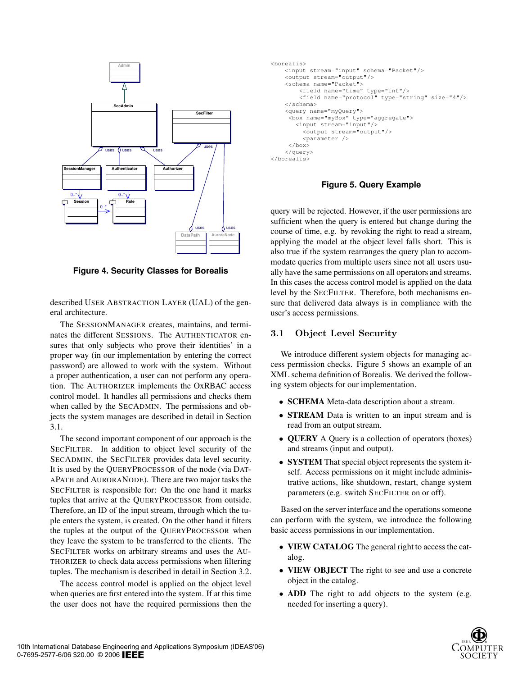

**Figure 4. Security Classes for Borealis**

described USER ABSTRACTION LAYER (UAL) of the general architecture.

The SESSIONMANAGER creates, maintains, and terminates the different SESSIONS. The AUTHENTICATOR ensures that only subjects who prove their identities' in a proper way (in our implementation by entering the correct password) are allowed to work with the system. Without a proper authentication, a user can not perform any operation. The AUTHORIZER implements the OxRBAC access control model. It handles all permissions and checks them when called by the SECADMIN. The permissions and objects the system manages are described in detail in Section 3.1.

The second important component of our approach is the SECFILTER. In addition to object level security of the SECADMIN, the SECFILTER provides data level security. It is used by the QUERYPROCESSOR of the node (via DAT-APATH and AURORANODE). There are two major tasks the SECFILTER is responsible for: On the one hand it marks tuples that arrive at the QUERYPROCESSOR from outside. Therefore, an ID of the input stream, through which the tuple enters the system, is created. On the other hand it filters the tuples at the output of the QUERYPROCESSOR when they leave the system to be transferred to the clients. The SECFILTER works on arbitrary streams and uses the AU-THORIZER to check data access permissions when filtering tuples. The mechanism is described in detail in Section 3.2.

The access control model is applied on the object level when queries are first entered into the system. If at this time the user does not have the required permissions then the

```
<borealis>
   <input stream="input" schema="Packet"/>
   <output stream="output"/>
   <schema name="Packet">
        <field name="time" type="int"/>
        <field name="protocol" type="string" size="4"/>
   </schema>
    <query name="myQuery">
     <box name="myBox" type="aggregate">
       <input stream="input"/>
         <output stream="output"/>
         <parameter />
    \langle/hox>
   </query>
</borealis>
```
#### **Figure 5. Query Example**

query will be rejected. However, if the user permissions are sufficient when the query is entered but change during the course of time, e.g. by revoking the right to read a stream, applying the model at the object level falls short. This is also true if the system rearranges the query plan to accommodate queries from multiple users since not all users usually have the same permissions on all operators and streams. In this cases the access control model is applied on the data level by the SECFILTER. Therefore, both mechanisms ensure that delivered data always is in compliance with the user's access permissions.

## 3.1 Object Level Security

We introduce different system objects for managing access permission checks. Figure 5 shows an example of an XML schema definition of Borealis. We derived the following system objects for our implementation.

- **SCHEMA** Meta-data description about a stream.
- **STREAM** Data is written to an input stream and is read from an output stream.
- **QUERY** A Query is a collection of operators (boxes) and streams (input and output).
- **SYSTEM** That special object represents the system itself. Access permissions on it might include administrative actions, like shutdown, restart, change system parameters (e.g. switch SECFILTER on or off).

Based on the server interface and the operations someone can perform with the system, we introduce the following basic access permissions in our implementation.

- **VIEW CATALOG** The general right to access the catalog.
- **VIEW OBJECT** The right to see and use a concrete object in the catalog.
- **ADD** The right to add objects to the system (e.g. needed for inserting a query).

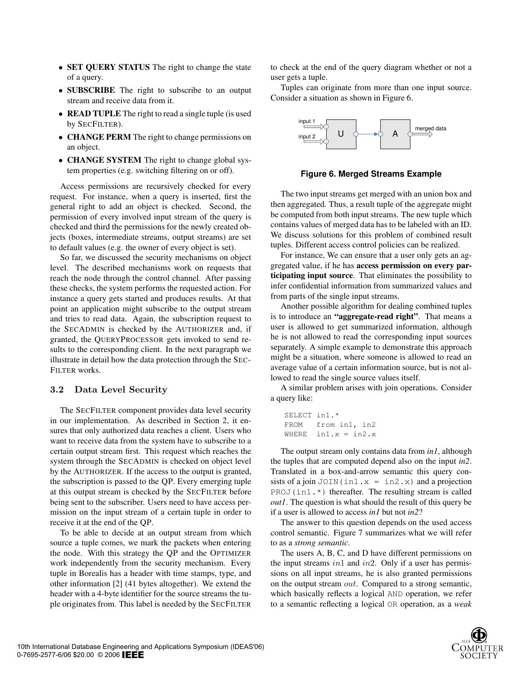- **SET QUERY STATUS** The right to change the state of a query.
- **SUBSCRIBE** The right to subscribe to an output stream and receive data from it.
- **READ TUPLE** The right to read a single tuple (is used by SECFILTER).
- **CHANGE PERM** The right to change permissions on an object.
- **CHANGE SYSTEM** The right to change global system properties (e.g. switching filtering on or off).

Access permissions are recursively checked for every request. For instance, when a query is inserted, first the general right to add an object is checked. Second, the permission of every involved input stream of the query is checked and third the permissions for the newly created objects (boxes, intermediate streams, output streams) are set to default values (e.g. the owner of every object is set).

So far, we discussed the security mechanisms on object level. The described mechanisms work on requests that reach the node through the control channel. After passing these checks, the system performs the requested action. For instance a query gets started and produces results. At that point an application might subscribe to the output stream and tries to read data. Again, the subscription request to the SECADMIN is checked by the AUTHORIZER and, if granted, the QUERYPROCESSOR gets invoked to send results to the corresponding client. In the next paragraph we illustrate in detail how the data protection through the SEC-FILTER works.

### 3.2 Data Level Security

The SECFILTER component provides data level security in our implementation. As described in Section 2, it ensures that only authorized data reaches a client. Users who want to receive data from the system have to subscribe to a certain output stream first. This request which reaches the system through the SECADMIN is checked on object level by the AUTHORIZER. If the access to the output is granted, the subscription is passed to the QP. Every emerging tuple at this output stream is checked by the SECFILTER before being sent to the subscriber. Users need to have access permission on the input stream of a certain tuple in order to receive it at the end of the QP.

To be able to decide at an output stream from which source a tuple comes, we mark the packets when entering the node. With this strategy the QP and the OPTIMIZER work independently from the security mechanism. Every tuple in Borealis has a header with time stamps, type, and other information [2] (41 bytes altogether). We extend the header with a 4-byte identifier for the source streams the tuple originates from. This label is needed by the SECFILTER

to check at the end of the query diagram whether or not a user gets a tuple.

Tuples can originate from more than one input source. Consider a situation as shown in Figure 6.



**Figure 6. Merged Streams Example**

The two input streams get merged with an union box and then aggregated. Thus, a result tuple of the aggregate might be computed from both input streams. The new tuple which contains values of merged data has to be labeled with an ID. We discuss solutions for this problem of combined result tuples. Different access control policies can be realized.

For instance, We can ensure that a user only gets an aggregated value, if he has **access permission on every participating input source**. That eliminates the possibility to infer confidential information from summarized values and from parts of the single input streams.

Another possible algorithm for dealing combined tuples is to introduce an **"aggregate-read right"**. That means a user is allowed to get summarized information, although he is not allowed to read the corresponding input sources separately. A simple example to demonstrate this approach might be a situation, where someone is allowed to read an average value of a certain information source, but is not allowed to read the single source values itself.

A similar problem arises with join operations. Consider a query like:

```
SELECT in1.*
FROM from in1, in2
WHERE in1.x = in2.x
```
The output stream only contains data from *in1*, although the tuples that are computed depend also on the input *in2*. Translated in a box-and-arrow semantic this query consists of a join JOIN(in1.x = in2.x) and a projection PROJ(in1.\*) thereafter. The resulting stream is called *out1*. The question is what should the result of this query be if a user is allowed to access *in1* but not *in2*?

The answer to this question depends on the used access control semantic. Figure 7 summarizes what we will refer to as a *strong semantic*.

The users A, B, C, and D have different permissions on the input streams  $in1$  and  $in2$ . Only if a user has permissions on all input streams, he is also granted permissions on the output stream out. Compared to a strong semantic, which basically reflects a logical AND operation, we refer to a semantic reflecting a logical OR operation, as a *weak*

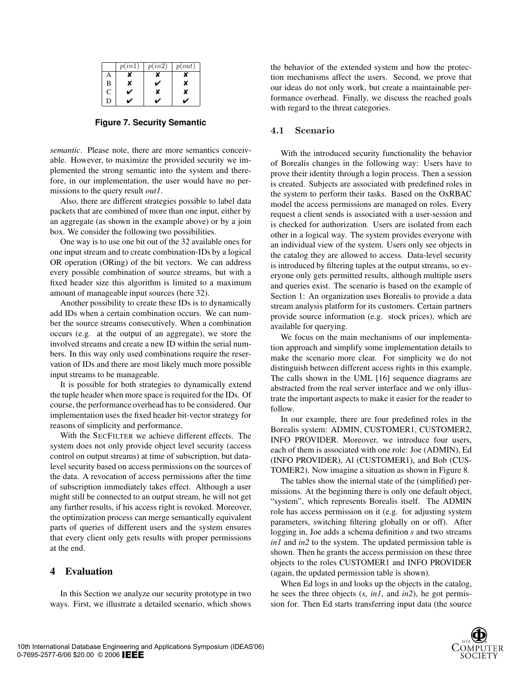|   | p(in1) | p(in2) | p(out) |
|---|--------|--------|--------|
| A |        |        |        |
| B | x      |        | x      |
| C |        | x      | x      |
| D |        |        |        |

**Figure 7. Security Semantic**

*semantic*. Please note, there are more semantics conceivable. However, to maximize the provided security we implemented the strong semantic into the system and therefore, in our implementation, the user would have no permissions to the query result *out1*.

Also, there are different strategies possible to label data packets that are combined of more than one input, either by an aggregate (as shown in the example above) or by a join box. We consider the following two possibilities.

One way is to use one bit out of the 32 available ones for one input stream and to create combination-IDs by a logical OR operation (ORing) of the bit vectors. We can address every possible combination of source streams, but with a fixed header size this algorithm is limited to a maximum amount of manageable input sources (here 32).

Another possibility to create these IDs is to dynamically add IDs when a certain combination occurs. We can number the source streams consecutively. When a combination occurs (e.g. at the output of an aggregate), we store the involved streams and create a new ID within the serial numbers. In this way only used combinations require the reservation of IDs and there are most likely much more possible input streams to be manageable.

It is possible for both strategies to dynamically extend the tuple header when more space is required for the IDs. Of course, the performance overhead has to be considered. Our implementation uses the fixed header bit-vector strategy for reasons of simplicity and performance.

With the SECFILTER we achieve different effects. The system does not only provide object level security (access control on output streams) at time of subscription, but datalevel security based on access permissions on the sources of the data. A revocation of access permissions after the time of subscription immediately takes effect. Although a user might still be connected to an output stream, he will not get any further results, if his access right is revoked. Moreover, the optimization process can merge semantically equivalent parts of queries of different users and the system ensures that every client only gets results with proper permissions at the end.

## **4 Evaluation**

In this Section we analyze our security prototype in two ways. First, we illustrate a detailed scenario, which shows

the behavior of the extended system and how the protection mechanisms affect the users. Second, we prove that our ideas do not only work, but create a maintainable performance overhead. Finally, we discuss the reached goals with regard to the threat categories.

## 4.1 Scenario

With the introduced security functionality the behavior of Borealis changes in the following way: Users have to prove their identity through a login process. Then a session is created. Subjects are associated with predefined roles in the system to perform their tasks. Based on the OxRBAC model the access permissions are managed on roles. Every request a client sends is associated with a user-session and is checked for authorization. Users are isolated from each other in a logical way. The system provides everyone with an individual view of the system. Users only see objects in the catalog they are allowed to access. Data-level security is introduced by filtering tuples at the output streams, so everyone only gets permitted results, although multiple users and queries exist. The scenario is based on the example of Section 1: An organization uses Borealis to provide a data stream analysis platform for its customers. Certain partners provide source information (e.g. stock prices), which are available for querying.

We focus on the main mechanisms of our implementation approach and simplify some implementation details to make the scenario more clear. For simplicity we do not distinguish between different access rights in this example. The calls shown in the UML [16] sequence diagrams are abstracted from the real server interface and we only illustrate the important aspects to make it easier for the reader to follow.

In our example, there are four predefined roles in the Borealis system: ADMIN, CUSTOMER1, CUSTOMER2, INFO PROVIDER. Moreover, we introduce four users, each of them is associated with one role: Joe (ADMIN), Ed (INFO PROVIDER), Al (CUSTOMER1), and Bob (CUS-TOMER2). Now imagine a situation as shown in Figure 8.

The tables show the internal state of the (simplified) permissions. At the beginning there is only one default object, "system", which represents Borealis itself. The ADMIN role has access permission on it (e.g. for adjusting system parameters, switching filtering globally on or off). After logging in, Joe adds a schema definition *s* and two streams *in1* and *in2* to the system. The updated permission table is shown. Then he grants the access permission on these three objects to the roles CUSTOMER1 and INFO PROVIDER (again, the updated permission table is shown).

When Ed logs in and looks up the objects in the catalog, he sees the three objects (*s*, *in1*, and *in2*), he got permission for. Then Ed starts transferring input data (the source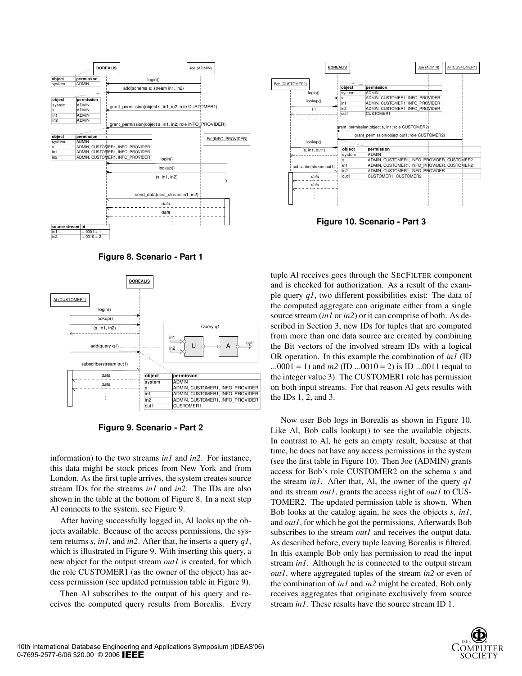

**Figure 8. Scenario - Part 1**



**Figure 9. Scenario - Part 2**

information) to the two streams *in1* and *in2*. For instance, this data might be stock prices from New York and from London. As the first tuple arrives, the system creates source stream IDs for the streams *in1* and *in2*. The IDs are also shown in the table at the bottom of Figure 8. In a next step Al connects to the system, see Figure 9.

After having successfully logged in, Al looks up the objects available. Because of the access permissions, the system returns *s*, *in1*, and *in2*. After that, he inserts a query *q1*, which is illustrated in Figure 9. With inserting this query, a new object for the output stream *out1* is created, for which the role CUSTOMER1 (as the owner of the object) has access permission (see updated permission table in Figure 9).

Then Al subscribes to the output of his query and receives the computed query results from Borealis. Every



**Figure 10. Scenario - Part 3**

tuple Al receives goes through the SECFILTER component and is checked for authorization. As a result of the example query *q1*, two different possibilities exist: The data of the computed aggregate can originate either from a single source stream (*in1* or *in2*) or it can comprise of both. As described in Section 3, new IDs for tuples that are computed from more than one data source are created by combining the Bit vectors of the involved stream IDs with a logical OR operation. In this example the combination of *in1* (ID ...0001 = 1) and *in2* (ID ...0010 = 2) is ID ...0011 (equal to the integer value 3). The CUSTOMER1 role has permission on both input streams. For that reason Al gets results with the IDs 1, 2, and 3.

Now user Bob logs in Borealis as shown in Figure 10. Like Al, Bob calls lookup() to see the available objects. In contrast to Al, he gets an empty result, because at that time, he does not have any access permissions in the system (see the first table in Figure 10). Then Joe (ADMIN) grants access for Bob's role CUSTOMER2 on the schema *s* and the stream *in1*. After that, Al, the owner of the query *q1* and its stream *out1*, grants the access right of *out1* to CUS-TOMER2. The updated permission table is shown. When Bob looks at the catalog again, he sees the objects *s*, *in1*, and *out1*, for which he got the permissions. Afterwards Bob subscribes to the stream *out1* and receives the output data. As described before, every tuple leaving Borealis is filtered. In this example Bob only has permission to read the input stream *in1*. Although he is connected to the output stream *out1*, where aggregated tuples of the stream *in2* or even of the combination of *in1* and *in2* might be created, Bob only receives aggregates that originate exclusively from source stream *in1*. These results have the source stream ID 1.

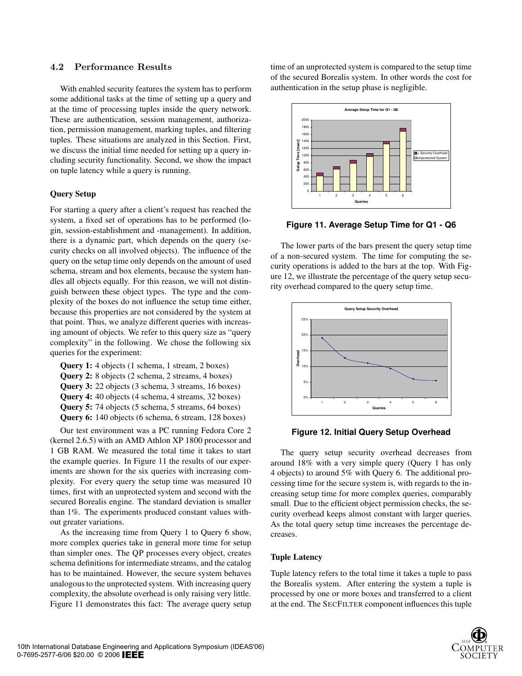## 4.2 Performance Results

With enabled security features the system has to perform some additional tasks at the time of setting up a query and at the time of processing tuples inside the query network. These are authentication, session management, authorization, permission management, marking tuples, and filtering tuples. These situations are analyzed in this Section. First, we discuss the initial time needed for setting up a query including security functionality. Second, we show the impact on tuple latency while a query is running.

#### **Query Setup**

For starting a query after a client's request has reached the system, a fixed set of operations has to be performed (login, session-establishment and -management). In addition, there is a dynamic part, which depends on the query (security checks on all involved objects). The influence of the query on the setup time only depends on the amount of used schema, stream and box elements, because the system handles all objects equally. For this reason, we will not distinguish between these object types. The type and the complexity of the boxes do not influence the setup time either, because this properties are not considered by the system at that point. Thus, we analyze different queries with increasing amount of objects. We refer to this query size as "query complexity" in the following. We chose the following six queries for the experiment:

**Query 1:** 4 objects (1 schema, 1 stream, 2 boxes) **Query 2:** 8 objects (2 schema, 2 streams, 4 boxes) **Query 3:** 22 objects (3 schema, 3 streams, 16 boxes) **Query 4:** 40 objects (4 schema, 4 streams, 32 boxes) **Query 5:** 74 objects (5 schema, 5 streams, 64 boxes) **Query 6:** 140 objects (6 schema, 6 stream, 128 boxes)

Our test environment was a PC running Fedora Core 2 (kernel 2.6.5) with an AMD Athlon XP 1800 processor and 1 GB RAM. We measured the total time it takes to start the example queries. In Figure 11 the results of our experiments are shown for the six queries with increasing complexity. For every query the setup time was measured 10 times, first with an unprotected system and second with the secured Borealis engine. The standard deviation is smaller than 1%. The experiments produced constant values without greater variations.

As the increasing time from Query 1 to Query 6 show, more complex queries take in general more time for setup than simpler ones. The QP processes every object, creates schema definitions for intermediate streams, and the catalog has to be maintained. However, the secure system behaves analogous to the unprotected system. With increasing query complexity, the absolute overhead is only raising very little. Figure 11 demonstrates this fact: The average query setup

time of an unprotected system is compared to the setup time of the secured Borealis system. In other words the cost for authentication in the setup phase is negligible.



**Figure 11. Average Setup Time for Q1 - Q6**

The lower parts of the bars present the query setup time of a non-secured system. The time for computing the security operations is added to the bars at the top. With Figure 12, we illustrate the percentage of the query setup security overhead compared to the query setup time.



**Figure 12. Initial Query Setup Overhead**

The query setup security overhead decreases from around 18% with a very simple query (Query 1 has only 4 objects) to around 5% with Query 6. The additional processing time for the secure system is, with regards to the increasing setup time for more complex queries, comparably small. Due to the efficient object permission checks, the security overhead keeps almost constant with larger queries. As the total query setup time increases the percentage decreases.

#### **Tuple Latency**

Tuple latency refers to the total time it takes a tuple to pass the Borealis system. After entering the system a tuple is processed by one or more boxes and transferred to a client at the end. The SECFILTER component influences this tuple

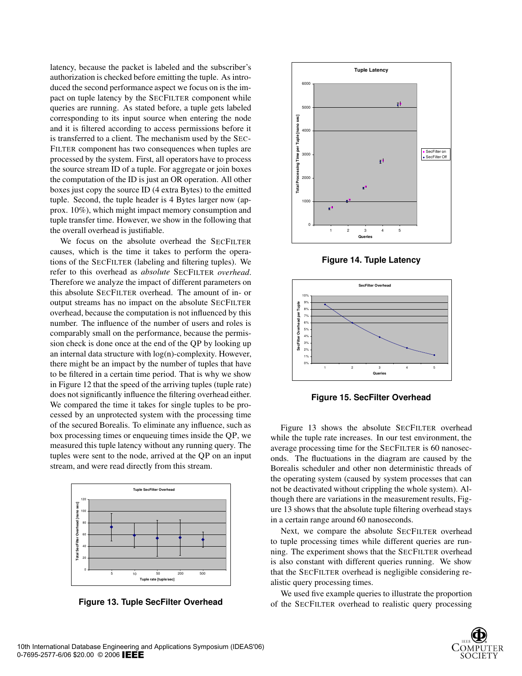latency, because the packet is labeled and the subscriber's authorization is checked before emitting the tuple. As introduced the second performance aspect we focus on is the impact on tuple latency by the SECFILTER component while queries are running. As stated before, a tuple gets labeled corresponding to its input source when entering the node and it is filtered according to access permissions before it is transferred to a client. The mechanism used by the SEC-FILTER component has two consequences when tuples are processed by the system. First, all operators have to process the source stream ID of a tuple. For aggregate or join boxes the computation of the ID is just an OR operation. All other boxes just copy the source ID (4 extra Bytes) to the emitted tuple. Second, the tuple header is 4 Bytes larger now (approx. 10%), which might impact memory consumption and tuple transfer time. However, we show in the following that the overall overhead is justifiable.

We focus on the absolute overhead the SECFILTER causes, which is the time it takes to perform the operations of the SECFILTER (labeling and filtering tuples). We refer to this overhead as *absolute* SECFILTER *overhead*. Therefore we analyze the impact of different parameters on this absolute SECFILTER overhead. The amount of in- or output streams has no impact on the absolute SECFILTER overhead, because the computation is not influenced by this number. The influence of the number of users and roles is comparably small on the performance, because the permission check is done once at the end of the QP by looking up an internal data structure with log(n)-complexity. However, there might be an impact by the number of tuples that have to be filtered in a certain time period. That is why we show in Figure 12 that the speed of the arriving tuples (tuple rate) does not significantly influence the filtering overhead either. We compared the time it takes for single tuples to be processed by an unprotected system with the processing time of the secured Borealis. To eliminate any influence, such as box processing times or enqueuing times inside the QP, we measured this tuple latency without any running query. The tuples were sent to the node, arrived at the QP on an input stream, and were read directly from this stream.



**Figure 13. Tuple SecFilter Overhead**



**Figure 14. Tuple Latency**



**Figure 15. SecFilter Overhead**

Figure 13 shows the absolute SECFILTER overhead while the tuple rate increases. In our test environment, the average processing time for the SECFILTER is 60 nanoseconds. The fluctuations in the diagram are caused by the Borealis scheduler and other non deterministic threads of the operating system (caused by system processes that can not be deactivated without crippling the whole system). Although there are variations in the measurement results, Figure 13 shows that the absolute tuple filtering overhead stays in a certain range around 60 nanoseconds.

Next, we compare the absolute SECFILTER overhead to tuple processing times while different queries are running. The experiment shows that the SECFILTER overhead is also constant with different queries running. We show that the SECFILTER overhead is negligible considering realistic query processing times.

We used five example queries to illustrate the proportion of the SECFILTER overhead to realistic query processing

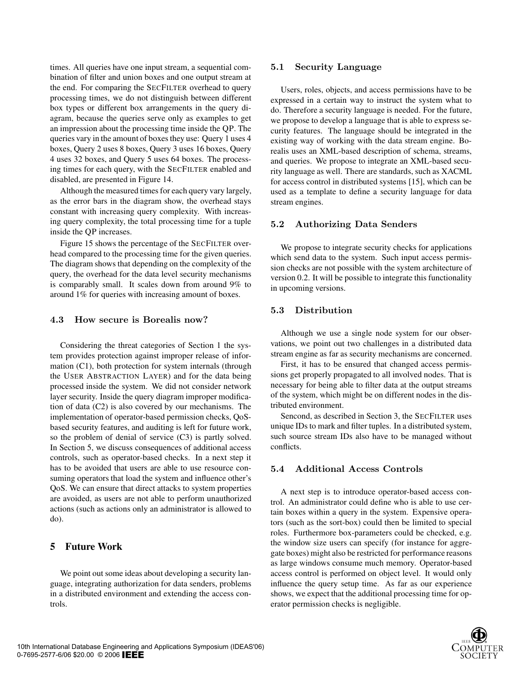times. All queries have one input stream, a sequential combination of filter and union boxes and one output stream at the end. For comparing the SECFILTER overhead to query processing times, we do not distinguish between different box types or different box arrangements in the query diagram, because the queries serve only as examples to get an impression about the processing time inside the QP. The queries vary in the amount of boxes they use: Query 1 uses 4 boxes, Query 2 uses 8 boxes, Query 3 uses 16 boxes, Query 4 uses 32 boxes, and Query 5 uses 64 boxes. The processing times for each query, with the SECFILTER enabled and disabled, are presented in Figure 14.

Although the measured times for each query vary largely, as the error bars in the diagram show, the overhead stays constant with increasing query complexity. With increasing query complexity, the total processing time for a tuple inside the QP increases.

Figure 15 shows the percentage of the SECFILTER overhead compared to the processing time for the given queries. The diagram shows that depending on the complexity of the query, the overhead for the data level security mechanisms is comparably small. It scales down from around 9% to around 1% for queries with increasing amount of boxes.

### 4.3 How secure is Borealis now?

Considering the threat categories of Section 1 the system provides protection against improper release of information (C1), both protection for system internals (through the USER ABSTRACTION LAYER) and for the data being processed inside the system. We did not consider network layer security. Inside the query diagram improper modification of data (C2) is also covered by our mechanisms. The implementation of operator-based permission checks, QoSbased security features, and auditing is left for future work, so the problem of denial of service (C3) is partly solved. In Section 5, we discuss consequences of additional access controls, such as operator-based checks. In a next step it has to be avoided that users are able to use resource consuming operators that load the system and influence other's QoS. We can ensure that direct attacks to system properties are avoided, as users are not able to perform unauthorized actions (such as actions only an administrator is allowed to do).

## **5 Future Work**

We point out some ideas about developing a security language, integrating authorization for data senders, problems in a distributed environment and extending the access controls.

#### 5.1 Security Language

Users, roles, objects, and access permissions have to be expressed in a certain way to instruct the system what to do. Therefore a security language is needed. For the future, we propose to develop a language that is able to express security features. The language should be integrated in the existing way of working with the data stream engine. Borealis uses an XML-based description of schema, streams, and queries. We propose to integrate an XML-based security language as well. There are standards, such as XACML for access control in distributed systems [15], which can be used as a template to define a security language for data stream engines.

### 5.2 Authorizing Data Senders

We propose to integrate security checks for applications which send data to the system. Such input access permission checks are not possible with the system architecture of version 0.2. It will be possible to integrate this functionality in upcoming versions.

## 5.3 Distribution

Although we use a single node system for our observations, we point out two challenges in a distributed data stream engine as far as security mechanisms are concerned.

First, it has to be ensured that changed access permissions get properly propagated to all involved nodes. That is necessary for being able to filter data at the output streams of the system, which might be on different nodes in the distributed environment.

Sencond, as described in Section 3, the SECFILTER uses unique IDs to mark and filter tuples. In a distributed system, such source stream IDs also have to be managed without conflicts.

## 5.4 Additional Access Controls

A next step is to introduce operator-based access control. An administrator could define who is able to use certain boxes within a query in the system. Expensive operators (such as the sort-box) could then be limited to special roles. Furthermore box-parameters could be checked, e.g. the window size users can specify (for instance for aggregate boxes) might also be restricted for performance reasons as large windows consume much memory. Operator-based access control is performed on object level. It would only influence the query setup time. As far as our experience shows, we expect that the additional processing time for operator permission checks is negligible.